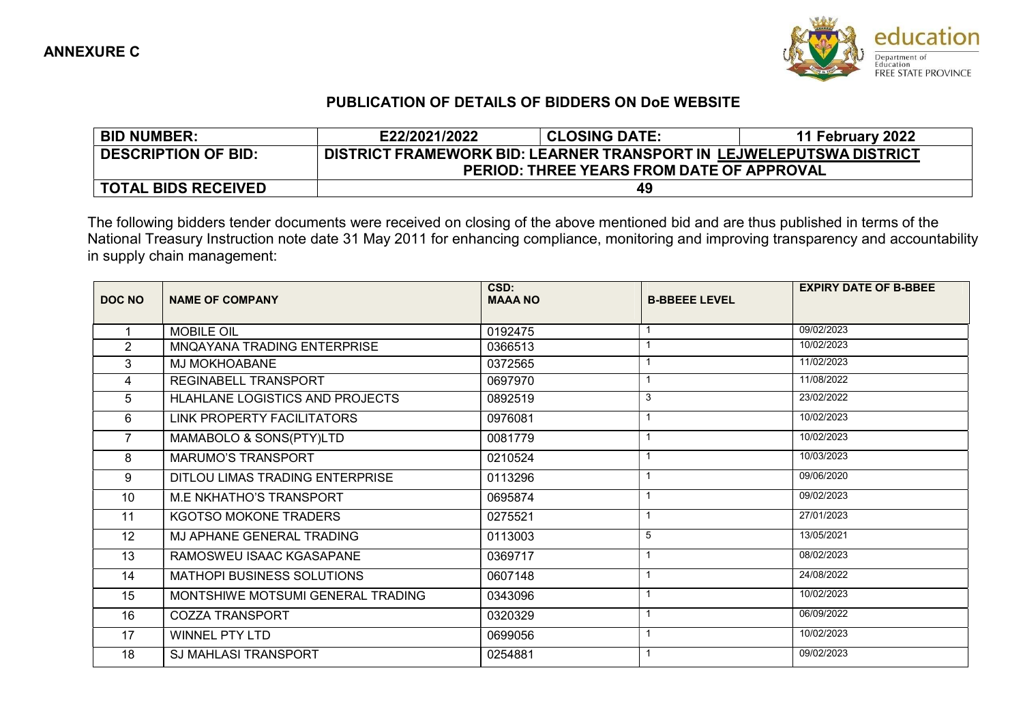

## PUBLICATION OF DETAILS OF BIDDERS ON DoE WEBSITE

| <b>BID NUMBER:</b>         | E22/2021/2022                                                       | <b>CLOSING DATE:</b> | 11 February 2022 |  |  |
|----------------------------|---------------------------------------------------------------------|----------------------|------------------|--|--|
| <b>DESCRIPTION OF BID:</b> | DISTRICT FRAMEWORK BID: LEARNER TRANSPORT IN LEJWELEPUTSWA DISTRICT |                      |                  |  |  |
|                            | <b>PERIOD: THREE YEARS FROM DATE OF APPROVAL</b>                    |                      |                  |  |  |
| TOTAL BIDS RECEIVED        |                                                                     | 49                   |                  |  |  |

The following bidders tender documents were received on closing of the above mentioned bid and are thus published in terms of the National Treasury Instruction note date 31 May 2011 for enhancing compliance, monitoring and improving transparency and accountability in supply chain management:

|                | <b>MOBILE OIL</b>                 |         |   |            |
|----------------|-----------------------------------|---------|---|------------|
|                |                                   | 0192475 |   | 09/02/2023 |
| $\overline{2}$ | MNQAYANA TRADING ENTERPRISE       | 0366513 |   | 10/02/2023 |
| 3              | <b>MJ MOKHOABANE</b>              | 0372565 |   | 11/02/2023 |
| 4              | REGINABELL TRANSPORT              | 0697970 |   | 11/08/2022 |
| 5              | HLAHLANE LOGISTICS AND PROJECTS   | 0892519 | 3 | 23/02/2022 |
| 6              | LINK PROPERTY FACILITATORS        | 0976081 |   | 10/02/2023 |
| 7              | MAMABOLO & SONS(PTY)LTD           | 0081779 |   | 10/02/2023 |
| 8              | <b>MARUMO'S TRANSPORT</b>         | 0210524 |   | 10/03/2023 |
| 9              | DITLOU LIMAS TRADING ENTERPRISE   | 0113296 |   | 09/06/2020 |
| 10             | <b>M.E NKHATHO'S TRANSPORT</b>    | 0695874 |   | 09/02/2023 |
| 11             | KGOTSO MOKONE TRADERS             | 0275521 |   | 27/01/2023 |
| 12             | MJ APHANE GENERAL TRADING         | 0113003 | 5 | 13/05/2021 |
| 13             | RAMOSWEU ISAAC KGASAPANE          | 0369717 |   | 08/02/2023 |
| 14             | <b>MATHOPI BUSINESS SOLUTIONS</b> | 0607148 |   | 24/08/2022 |
| 15             | MONTSHIWE MOTSUMI GENERAL TRADING | 0343096 |   | 10/02/2023 |
| 16             | <b>COZZA TRANSPORT</b>            | 0320329 |   | 06/09/2022 |
| 17             | <b>WINNEL PTY LTD</b>             | 0699056 |   | 10/02/2023 |
| 18             | <b>SJ MAHLASI TRANSPORT</b>       | 0254881 |   | 09/02/2023 |